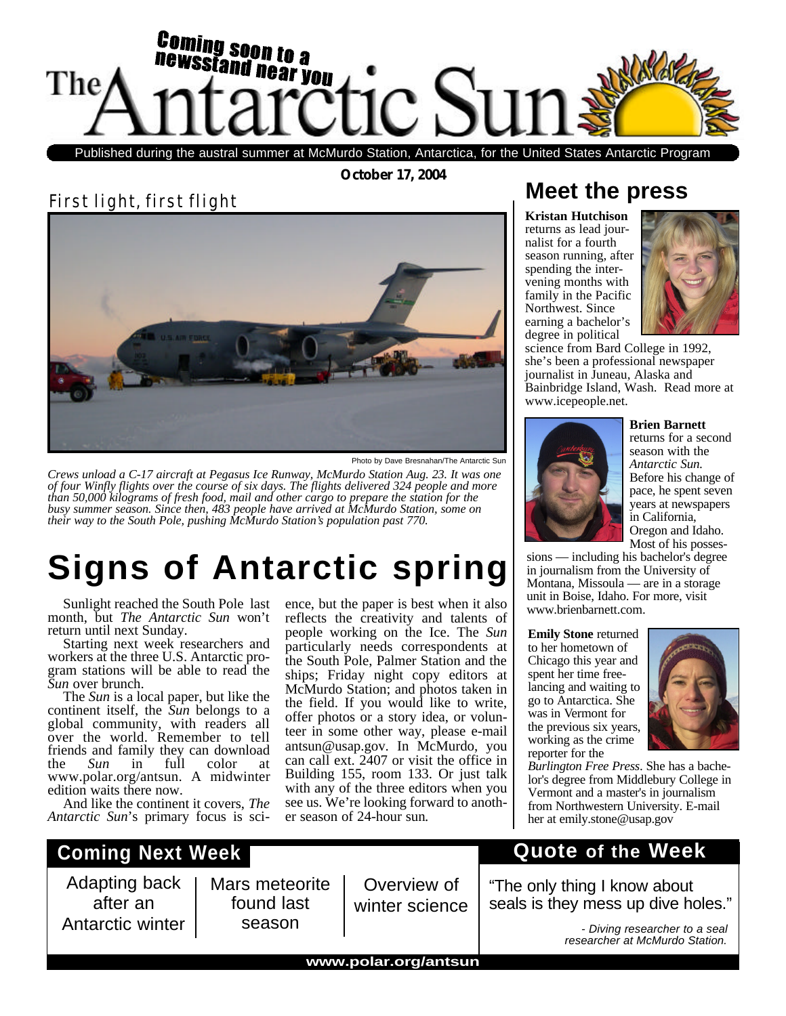

Published during the austral summer at McMurdo Station, Antarctica, for the United States Antarctic Program

**October 17, 2004**

First light, first flight



ence, but the paper is best when it also reflects the creativity and talents of people working on the Ice. The *Sun* particularly needs correspondents at the South Pole, Palmer Station and the ships; Friday night copy editors at McMurdo Station; and photos taken in the field. If you would like to write, offer photos or a story idea, or volunteer in some other way, please e-mail antsun@usap.gov. In McMurdo, you can call ext. 2407 or visit the office in Building 155, room 133. Or just talk with any of the three editors when you see us. We're looking forward to anoth-

*Crews unload a C-17 aircraft at Pegasus Ice Runway, McMurdo Station Aug. 23. It was one of four Winfly flights over the course of six days. The flights delivered 324 people and more than 50,000 kilograms of fresh food, mail and other cargo to prepare the station for the busy summer season. Since then, 483 people have arrived at McMurdo Station, some on their way to the South Pole, pushing McMurdo Station's population past 770.*

## **Signs of Antarctic spring**

Sunlight reached the South Pole last month, but *The Antarctic Sun* won't return until next Sunday.

Starting next week researchers and workers at the three U.S. Antarctic program stations will be able to read the *Sun* over brunch.

The *Sun* is a local paper, but like the continent itself, the *Sun* belongs to a global community, with readers all over the world. Remember to tell friends and family they can download<br>the Sun in full color at the *Sun* in full color at www.polar.org/antsun. A midwinter edition waits there now.

And like the continent it covers, *The Antarctic Sun*'s primary focus is sci-

## **Coming Next Week**

Adapting back after an Antarctic winter

Mars meteorite found last season

Overview of winter science

## **Meet the press**

**Kristan Hutchison** returns as lead journalist for a fourth season running, after spending the intervening months with family in the Pacific Northwest. Since earning a bachelor's degree in political



science from Bard College in 1992, she's been a professional newspaper journalist in Juneau, Alaska and Bainbridge Island, Wash. Read more at www.icepeople.net.



**Brien Barnett** returns for a second season with the *Antarctic Sun.* Before his change of pace, he spent seven years at newspapers in California, Oregon and Idaho. Most of his posses-

sions — including his bachelor's degree in journalism from the University of Montana, Missoula — are in a storage unit in Boise, Idaho. For more, visit www.brienbarnett.com.

**Emily Stone** returned to her hometown of Chicago this year and spent her time freelancing and waiting to go to Antarctica. She was in Vermont for the previous six years, working as the crime reporter for the



*Burlington Free Press*. She has a bachelor's degree from Middlebury College in Vermont and a master's in journalism from Northwestern University. E-mail her at emily.stone@usap.gov

## **Quote of the Week**

"The only thing I know about seals is they mess up dive holes."

> *- Diving researcher to a seal researcher at McMurdo Station.*

**www.polar.org/antsun**

er season of 24-hour sun*.*